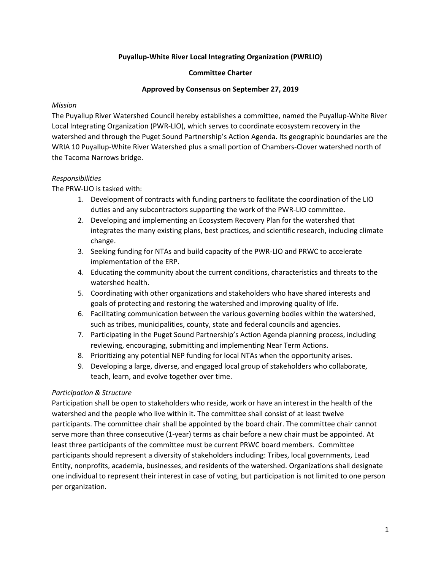# **Puyallup-White River Local Integrating Organization (PWRLIO)**

### **Committee Charter**

#### **Approved by Consensus on September 27, 2019**

#### *Mission*

The Puyallup River Watershed Council hereby establishes a committee, named the Puyallup-White River Local Integrating Organization (PWR-LIO), which serves to coordinate ecosystem recovery in the watershed and through the Puget Sound Partnership's Action Agenda. Its geographic boundaries are the WRIA 10 Puyallup-White River Watershed plus a small portion of Chambers-Clover watershed north of the Tacoma Narrows bridge.

### *Responsibilities*

The PRW-LIO is tasked with:

- 1. Development of contracts with funding partners to facilitate the coordination of the LIO duties and any subcontractors supporting the work of the PWR-LIO committee.
- 2. Developing and implementing an Ecosystem Recovery Plan for the watershed that integrates the many existing plans, best practices, and scientific research, including climate change.
- 3. Seeking funding for NTAs and build capacity of the PWR-LIO and PRWC to accelerate implementation of the ERP.
- 4. Educating the community about the current conditions, characteristics and threats to the watershed health.
- 5. Coordinating with other organizations and stakeholders who have shared interests and goals of protecting and restoring the watershed and improving quality of life.
- 6. Facilitating communication between the various governing bodies within the watershed, such as tribes, municipalities, county, state and federal councils and agencies.
- 7. Participating in the Puget Sound Partnership's Action Agenda planning process, including reviewing, encouraging, submitting and implementing Near Term Actions.
- 8. Prioritizing any potential NEP funding for local NTAs when the opportunity arises.
- 9. Developing a large, diverse, and engaged local group of stakeholders who collaborate, teach, learn, and evolve together over time.

### *Participation & Structure*

Participation shall be open to stakeholders who reside, work or have an interest in the health of the watershed and the people who live within it. The committee shall consist of at least twelve participants. The committee chair shall be appointed by the board chair. The committee chair cannot serve more than three consecutive (1-year) terms as chair before a new chair must be appointed. At least three participants of the committee must be current PRWC board members. Committee participants should represent a diversity of stakeholders including: Tribes, local governments, Lead Entity, nonprofits, academia, businesses, and residents of the watershed. Organizations shall designate one individual to represent their interest in case of voting, but participation is not limited to one person per organization.